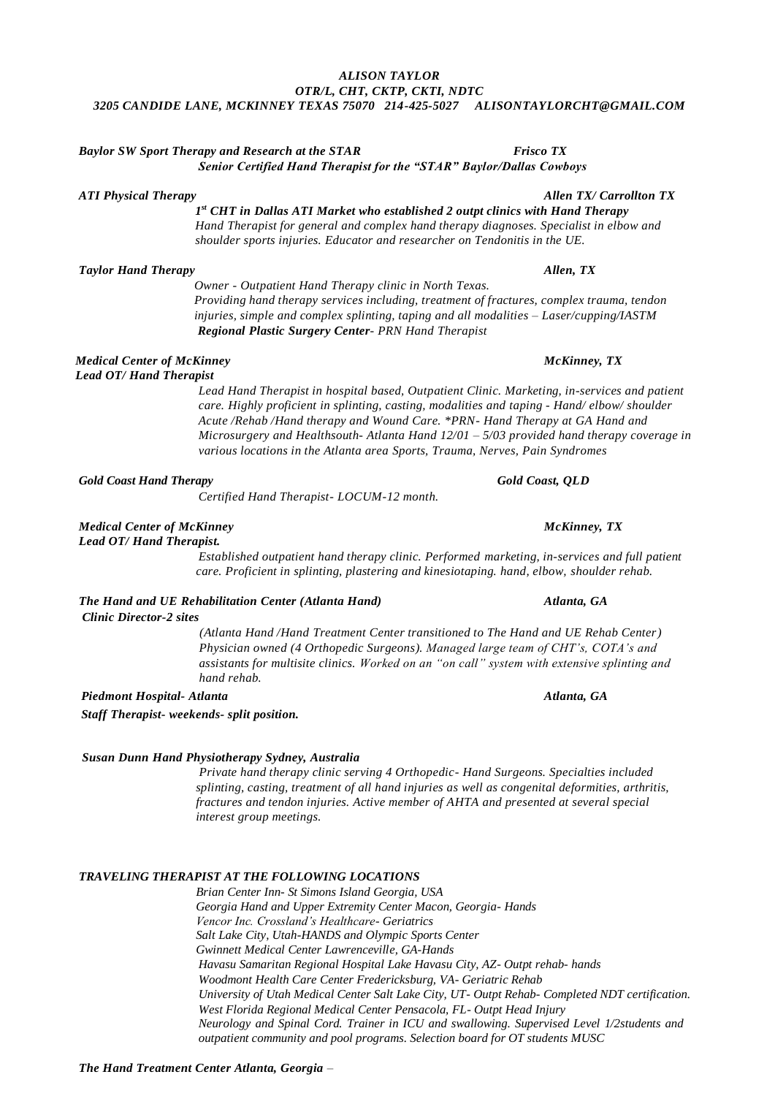## *ALISON TAYLOR OTR/L, CHT, CKTP, CKTI, NDTC 3205 CANDIDE LANE, MCKINNEY TEXAS 75070 214-425-5027 ALISONTAYLORCHT@GMAIL.COM*

# *Baylor SW Sport Therapy and Research at the STAR Frisco TX Senior Certified Hand Therapist for the "STAR" Baylor/Dallas Cowboys*

*ATI Physical Therapy Allen TX/ Carrollton TX*

 *1 st CHT in Dallas ATI Market who established 2 outpt clinics with Hand Therapy Hand Therapist for general and complex hand therapy diagnoses. Specialist in elbow and shoulder sports injuries. Educator and researcher on Tendonitis in the UE.* 

# *Taylor Hand Therapy* Allen, TX *Allen, TX*

*Owner - Outpatient Hand Therapy clinic in North Texas. Providing hand therapy services including, treatment of fractures, complex trauma, tendon injuries, simple and complex splinting, taping and all modalities – Laser/cupping/IASTM Regional Plastic Surgery Center- PRN Hand Therapist*

## *Medical Center of McKinney McKinney, TX Lead OT/ Hand Therapist*

*Lead Hand Therapist in hospital based, Outpatient Clinic. Marketing, in-services and patient care. Highly proficient in splinting, casting, modalities and taping - Hand/ elbow/ shoulder Acute /Rehab /Hand therapy and Wound Care. \*PRN- Hand Therapy at GA Hand and Microsurgery and Healthsouth- Atlanta Hand 12/01 – 5/03 provided hand therapy coverage in various locations in the Atlanta area Sports, Trauma, Nerves, Pain Syndromes* 

# *Gold Coast Hand Therapy Gold Coast, QLD*

*Certified Hand Therapist- LOCUM-12 month.*

# *Medical Center of McKinney* and *McKinney, TX McKinney, TX*

*Lead OT/ Hand Therapist.*

*Established outpatient hand therapy clinic. Performed marketing, in-services and full patient care. Proficient in splinting, plastering and kinesiotaping. hand, elbow, shoulder rehab.*

# *The Hand and UE Rehabilitation Center (Atlanta Hand) Atlanta, GA*

*Clinic Director-2 sites*

*(Atlanta Hand /Hand Treatment Center transitioned to The Hand and UE Rehab Center) Physician owned (4 Orthopedic Surgeons). Managed large team of CHT's, COTA's and assistants for multisite clinics. Worked on an "on call" system with extensive splinting and hand rehab.* 

*Piedmont Hospital- Atlanta Atlanta, GA* 

*Staff Therapist***-** *weekends- split position.*

# *Susan Dunn Hand Physiotherapy Sydney, Australia*

*Private hand therapy clinic serving 4 Orthopedic- Hand Surgeons. Specialties included splinting, casting, treatment of all hand injuries as well as congenital deformities, arthritis, fractures and tendon injuries. Active member of AHTA and presented at several special interest group meetings.*

# *TRAVELING THERAPIST AT THE FOLLOWING LOCATIONS*

*Brian Center Inn- St Simons Island Georgia, USA Georgia Hand and Upper Extremity Center Macon, Georgia- Hands Vencor Inc. Crossland's Healthcare- Geriatrics Salt Lake City, Utah-HANDS and Olympic Sports Center Gwinnett Medical Center Lawrenceville, GA-Hands Havasu Samaritan Regional Hospital Lake Havasu City, AZ- Outpt rehab- hands Woodmont Health Care Center Fredericksburg, VA- Geriatric Rehab University of Utah Medical Center Salt Lake City, UT- Outpt Rehab- Completed NDT certification. West Florida Regional Medical Center Pensacola, FL- Outpt Head Injury Neurology and Spinal Cord. Trainer in ICU and swallowing. Supervised Level 1/2students and outpatient community and pool programs. Selection board for OT students MUSC*